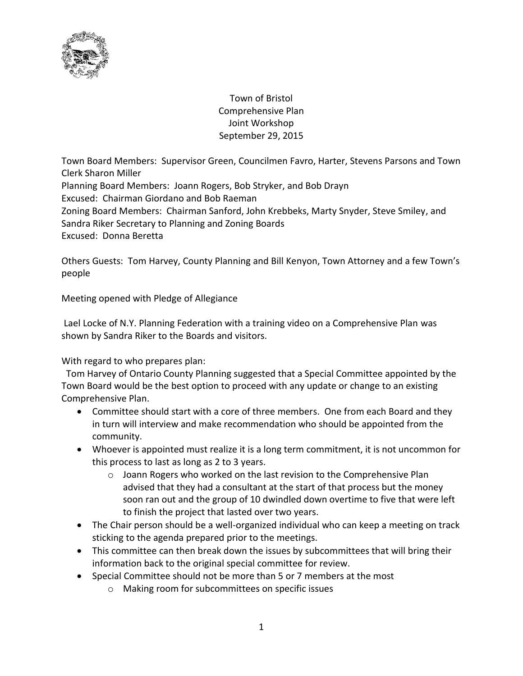

Town of Bristol Comprehensive Plan Joint Workshop September 29, 2015

Town Board Members: Supervisor Green, Councilmen Favro, Harter, Stevens Parsons and Town Clerk Sharon Miller

Planning Board Members: Joann Rogers, Bob Stryker, and Bob Drayn

Excused: Chairman Giordano and Bob Raeman

Zoning Board Members: Chairman Sanford, John Krebbeks, Marty Snyder, Steve Smiley, and Sandra Riker Secretary to Planning and Zoning Boards Excused: Donna Beretta

Others Guests: Tom Harvey, County Planning and Bill Kenyon, Town Attorney and a few Town's people

Meeting opened with Pledge of Allegiance

Lael Locke of N.Y. Planning Federation with a training video on a Comprehensive Plan was shown by Sandra Riker to the Boards and visitors.

With regard to who prepares plan:

 Tom Harvey of Ontario County Planning suggested that a Special Committee appointed by the Town Board would be the best option to proceed with any update or change to an existing Comprehensive Plan.

- Committee should start with a core of three members. One from each Board and they in turn will interview and make recommendation who should be appointed from the community.
- Whoever is appointed must realize it is a long term commitment, it is not uncommon for this process to last as long as 2 to 3 years.
	- o Joann Rogers who worked on the last revision to the Comprehensive Plan advised that they had a consultant at the start of that process but the money soon ran out and the group of 10 dwindled down overtime to five that were left to finish the project that lasted over two years.
- The Chair person should be a well-organized individual who can keep a meeting on track sticking to the agenda prepared prior to the meetings.
- This committee can then break down the issues by subcommittees that will bring their information back to the original special committee for review.
- Special Committee should not be more than 5 or 7 members at the most
	- o Making room for subcommittees on specific issues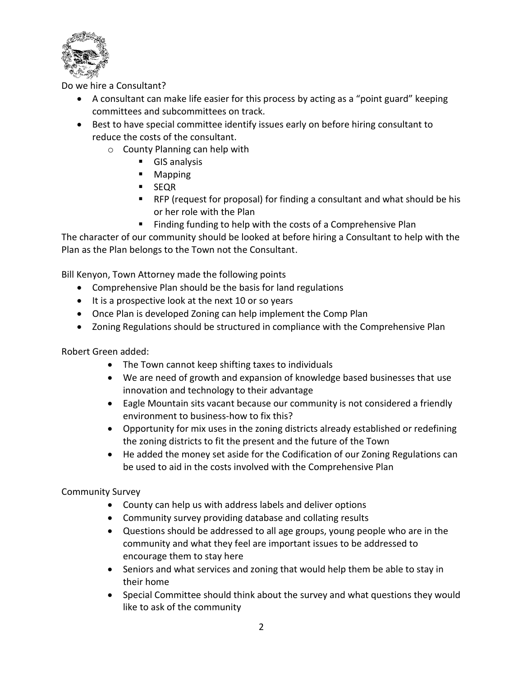

Do we hire a Consultant?

- A consultant can make life easier for this process by acting as a "point guard" keeping committees and subcommittees on track.
- Best to have special committee identify issues early on before hiring consultant to reduce the costs of the consultant.
	- o County Planning can help with
		- **GIS analysis**
		- Mapping
		- **SEQR**
		- RFP (request for proposal) for finding a consultant and what should be his or her role with the Plan
		- **Finding funding to help with the costs of a Comprehensive Plan**

The character of our community should be looked at before hiring a Consultant to help with the Plan as the Plan belongs to the Town not the Consultant.

Bill Kenyon, Town Attorney made the following points

- Comprehensive Plan should be the basis for land regulations
- It is a prospective look at the next 10 or so years
- Once Plan is developed Zoning can help implement the Comp Plan
- Zoning Regulations should be structured in compliance with the Comprehensive Plan

Robert Green added:

- The Town cannot keep shifting taxes to individuals
- We are need of growth and expansion of knowledge based businesses that use innovation and technology to their advantage
- Eagle Mountain sits vacant because our community is not considered a friendly environment to business-how to fix this?
- Opportunity for mix uses in the zoning districts already established or redefining the zoning districts to fit the present and the future of the Town
- He added the money set aside for the Codification of our Zoning Regulations can be used to aid in the costs involved with the Comprehensive Plan

## Community Survey

- County can help us with address labels and deliver options
- Community survey providing database and collating results
- Questions should be addressed to all age groups, young people who are in the community and what they feel are important issues to be addressed to encourage them to stay here
- Seniors and what services and zoning that would help them be able to stay in their home
- Special Committee should think about the survey and what questions they would like to ask of the community